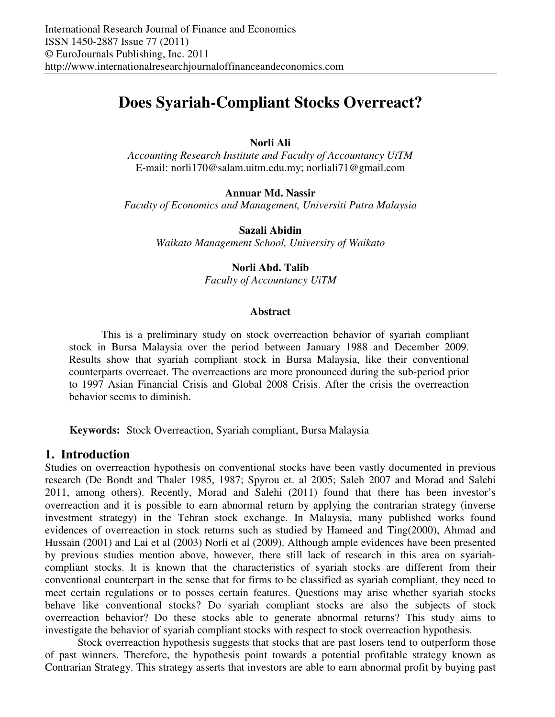# **Does Syariah-Compliant Stocks Overreact?**

## **Norli Ali**

*Accounting Research Institute and Faculty of Accountancy UiTM*  E-mail: norli170@salam.uitm.edu.my; norliali71@gmail.com

## **Annuar Md. Nassir**

*Faculty of Economics and Management, Universiti Putra Malaysia* 

**Sazali Abidin** 

*Waikato Management School, University of Waikato* 

#### **Norli Abd. Talib**

*Faculty of Accountancy UiTM* 

#### **Abstract**

This is a preliminary study on stock overreaction behavior of syariah compliant stock in Bursa Malaysia over the period between January 1988 and December 2009. Results show that syariah compliant stock in Bursa Malaysia, like their conventional counterparts overreact. The overreactions are more pronounced during the sub-period prior to 1997 Asian Financial Crisis and Global 2008 Crisis. After the crisis the overreaction behavior seems to diminish.

**Keywords:** Stock Overreaction, Syariah compliant, Bursa Malaysia

# **1. Introduction**

Studies on overreaction hypothesis on conventional stocks have been vastly documented in previous research (De Bondt and Thaler 1985, 1987; Spyrou et. al 2005; Saleh 2007 and Morad and Salehi 2011, among others). Recently, Morad and Salehi (2011) found that there has been investor's overreaction and it is possible to earn abnormal return by applying the contrarian strategy (inverse investment strategy) in the Tehran stock exchange. In Malaysia, many published works found evidences of overreaction in stock returns such as studied by Hameed and Ting(2000), Ahmad and Hussain (2001) and Lai et al (2003) Norli et al (2009). Although ample evidences have been presented by previous studies mention above, however, there still lack of research in this area on syariahcompliant stocks. It is known that the characteristics of syariah stocks are different from their conventional counterpart in the sense that for firms to be classified as syariah compliant, they need to meet certain regulations or to posses certain features. Questions may arise whether syariah stocks behave like conventional stocks? Do syariah compliant stocks are also the subjects of stock overreaction behavior? Do these stocks able to generate abnormal returns? This study aims to investigate the behavior of syariah compliant stocks with respect to stock overreaction hypothesis.

Stock overreaction hypothesis suggests that stocks that are past losers tend to outperform those of past winners. Therefore, the hypothesis point towards a potential profitable strategy known as Contrarian Strategy. This strategy asserts that investors are able to earn abnormal profit by buying past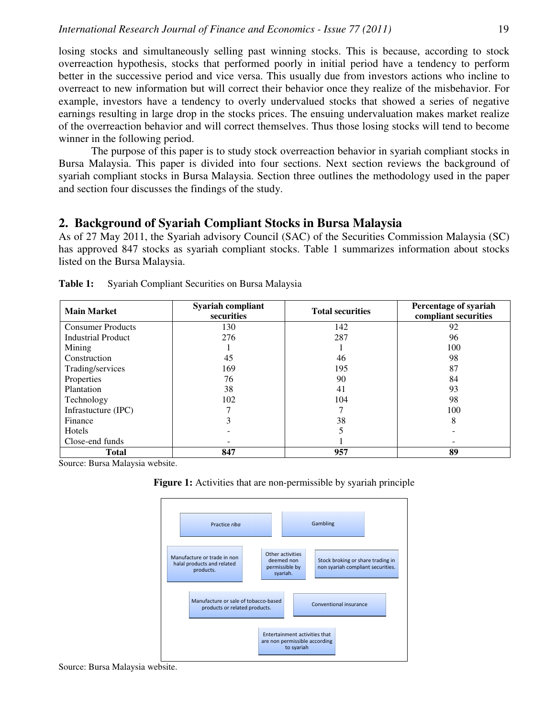losing stocks and simultaneously selling past winning stocks. This is because, according to stock overreaction hypothesis, stocks that performed poorly in initial period have a tendency to perform better in the successive period and vice versa. This usually due from investors actions who incline to overreact to new information but will correct their behavior once they realize of the misbehavior. For example, investors have a tendency to overly undervalued stocks that showed a series of negative earnings resulting in large drop in the stocks prices. The ensuing undervaluation makes market realize of the overreaction behavior and will correct themselves. Thus those losing stocks will tend to become winner in the following period.

The purpose of this paper is to study stock overreaction behavior in syariah compliant stocks in Bursa Malaysia. This paper is divided into four sections. Next section reviews the background of syariah compliant stocks in Bursa Malaysia. Section three outlines the methodology used in the paper and section four discusses the findings of the study.

# **2. Background of Syariah Compliant Stocks in Bursa Malaysia**

As of 27 May 2011, the Syariah advisory Council (SAC) of the Securities Commission Malaysia (SC) has approved 847 stocks as syariah compliant stocks. Table 1 summarizes information about stocks listed on the Bursa Malaysia.

| <b>Main Market</b>        | Syariah compliant<br>securities | <b>Total securities</b> | Percentage of syariah<br>compliant securities |  |
|---------------------------|---------------------------------|-------------------------|-----------------------------------------------|--|
| <b>Consumer Products</b>  | 130                             | 142                     | 92                                            |  |
| <b>Industrial Product</b> | 276                             | 287                     | 96                                            |  |
| Mining                    |                                 |                         | 100                                           |  |
| Construction              | 45                              | 46                      | 98                                            |  |
| Trading/services          | 169                             | 195                     | 87                                            |  |
| Properties                | 76                              | 90                      | 84                                            |  |
| Plantation                | 38                              | 41                      | 93                                            |  |
| Technology                | 102                             | 104                     | 98                                            |  |
| Infrastucture (IPC)       |                                 |                         | 100                                           |  |
| Finance                   | 3                               | 38                      | 8                                             |  |
| Hotels                    |                                 | 5                       |                                               |  |
| Close-end funds           |                                 |                         |                                               |  |
| <b>Total</b>              | 847                             | 957                     | 89                                            |  |

**Table 1:** Syariah Compliant Securities on Bursa Malaysia

Source: Bursa Malaysia website.



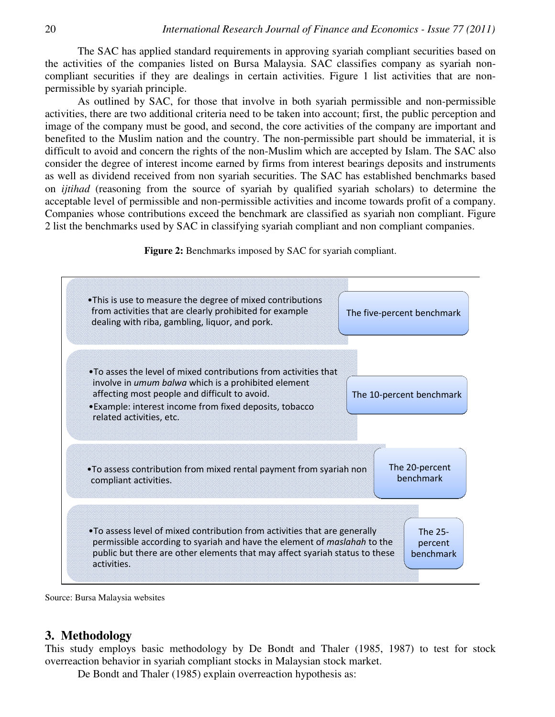The SAC has applied standard requirements in approving syariah compliant securities based on the activities of the companies listed on Bursa Malaysia. SAC classifies company as syariah noncompliant securities if they are dealings in certain activities. Figure 1 list activities that are nonpermissible by syariah principle.

As outlined by SAC, for those that involve in both syariah permissible and non-permissible activities, there are two additional criteria need to be taken into account; first, the public perception and image of the company must be good, and second, the core activities of the company are important and benefited to the Muslim nation and the country. The non-permissible part should be immaterial, it is difficult to avoid and concern the rights of the non-Muslim which are accepted by Islam. The SAC also consider the degree of interest income earned by firms from interest bearings deposits and instruments as well as dividend received from non syariah securities. The SAC has established benchmarks based on *ijtihad* (reasoning from the source of syariah by qualified syariah scholars) to determine the acceptable level of permissible and non-permissible activities and income towards profit of a company. Companies whose contributions exceed the benchmark are classified as syariah non compliant. Figure 2 list the benchmarks used by SAC in classifying syariah compliant and non compliant companies.

**Figure 2:** Benchmarks imposed by SAC for syariah compliant.



Source: Bursa Malaysia websites

## **3. Methodology**

This study employs basic methodology by De Bondt and Thaler (1985, 1987) to test for stock overreaction behavior in syariah compliant stocks in Malaysian stock market.

De Bondt and Thaler (1985) explain overreaction hypothesis as: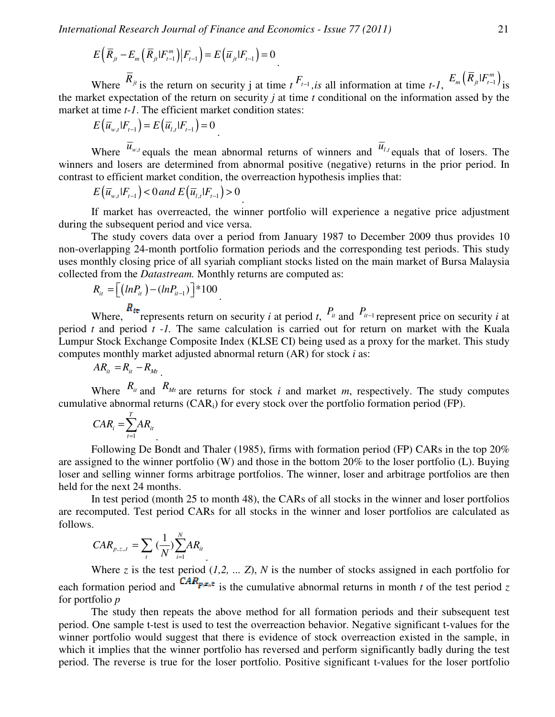.

.

$$
E(\overline{R}_{jt} - E_m(\overline{R}_{jt}|F_{t-1}^m)|F_{t-1}) = E(\overline{u}_{jt}|F_{t-1}) = 0.
$$

Where  $\overline{R}_{jt}$  is the return on security j at time  $t^{F_{t-1}}$ , *is* all information at time  $t-1$ ,  $E_m(\overline{R}_{jt}|F_{t-1}^m)$  is the market expectation of the return on security *j* at time *t* conditional on the information assed by the market at time *t-1*. The efficient market condition states:

$$
E\left(\overline{u}_{w,t}|F_{t-1}\right) = E\left(\overline{u}_{l,t}|F_{t-1}\right) = 0
$$

Where  $\overline{u}_{w,t}$  equals the mean abnormal returns of winners and  $\overline{u}_{t,t}$  equals that of losers. The winners and losers are determined from abnormal positive (negative) returns in the prior period. In contrast to efficient market condition, the overreaction hypothesis implies that:

$$
E\left(\overline{u}_{w,t}|F_{t-1}\right) < 0 \text{ and } E\left(\overline{u}_{l,t}|F_{t-1}\right) > 0
$$

If market has overreacted, the winner portfolio will experience a negative price adjustment during the subsequent period and vice versa.

The study covers data over a period from January 1987 to December 2009 thus provides 10 non-overlapping 24-month portfolio formation periods and the corresponding test periods. This study uses monthly closing price of all syariah compliant stocks listed on the main market of Bursa Malaysia collected from the *Datastream.* Monthly returns are computed as:

$$
R_{it} = \left[ \left( ln P_{it} \right) - \left( ln P_{it-1} \right) \right] * 100
$$

Where,  $\frac{R_{it}}{r}$  represents return on security *i* at period *t*,  $P_{it}$  and  $P_{it-1}$  represent price on security *i* at period *t* and period *t -1.* The same calculation is carried out for return on market with the Kuala Lumpur Stock Exchange Composite Index (KLSE CI) being used as a proxy for the market. This study computes monthly market adjusted abnormal return (AR) for stock *i* as:

$$
AR_{it} = R_{it} - R_{Mt}
$$

Where  $R_i$  and  $R_M$  are returns for stock *i* and market *m*, respectively. The study computes cumulative abnormal returns  $(CAR_i)$  for every stock over the portfolio formation period (FP).

$$
CAR_i = \sum_{t=1}^{T} AR_{it}
$$

Following De Bondt and Thaler (1985), firms with formation period (FP) CARs in the top 20% are assigned to the winner portfolio (W) and those in the bottom 20% to the loser portfolio (L). Buying loser and selling winner forms arbitrage portfolios. The winner, loser and arbitrage portfolios are then held for the next 24 months.

In test period (month 25 to month 48), the CARs of all stocks in the winner and loser portfolios are recomputed. Test period CARs for all stocks in the winner and loser portfolios are calculated as follows.

$$
CAR_{p,z,t} = \sum_{t} (\frac{1}{N}) \sum_{i=1}^{N} AR_{it}
$$

.

Where  $z$  is the test period  $(1,2, \ldots, Z)$ ,  $N$  is the number of stocks assigned in each portfolio for each formation period and  $\text{CAR}_{p,z,t}$  is the cumulative abnormal returns in month *t* of the test period *z* for portfolio *p* 

The study then repeats the above method for all formation periods and their subsequent test period. One sample t-test is used to test the overreaction behavior. Negative significant t-values for the winner portfolio would suggest that there is evidence of stock overreaction existed in the sample, in which it implies that the winner portfolio has reversed and perform significantly badly during the test period. The reverse is true for the loser portfolio. Positive significant t-values for the loser portfolio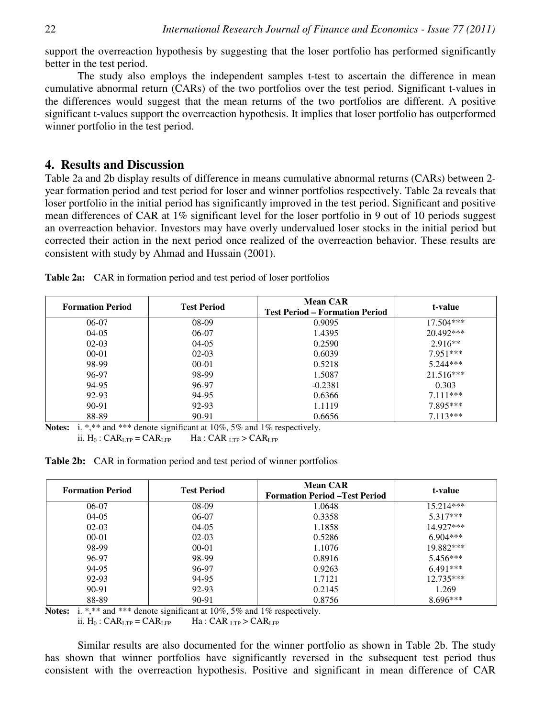support the overreaction hypothesis by suggesting that the loser portfolio has performed significantly better in the test period.

The study also employs the independent samples t-test to ascertain the difference in mean cumulative abnormal return (CARs) of the two portfolios over the test period. Significant t-values in the differences would suggest that the mean returns of the two portfolios are different. A positive significant t-values support the overreaction hypothesis. It implies that loser portfolio has outperformed winner portfolio in the test period.

# **4. Results and Discussion**

Table 2a and 2b display results of difference in means cumulative abnormal returns (CARs) between 2 year formation period and test period for loser and winner portfolios respectively. Table 2a reveals that loser portfolio in the initial period has significantly improved in the test period. Significant and positive mean differences of CAR at 1% significant level for the loser portfolio in 9 out of 10 periods suggest an overreaction behavior. Investors may have overly undervalued loser stocks in the initial period but corrected their action in the next period once realized of the overreaction behavior. These results are consistent with study by Ahmad and Hussain (2001).

| <b>Formation Period</b> | <b>Test Period</b> | <b>Mean CAR</b><br><b>Test Period – Formation Period</b> | t-value     |
|-------------------------|--------------------|----------------------------------------------------------|-------------|
| $06-07$                 | $08-09$            | 0.9095                                                   | $17.504***$ |
| $04-05$                 | 06-07              | 1.4395                                                   | $20.492***$ |
| $02-03$                 | $04-05$            | 0.2590                                                   | $2.916**$   |
| $00 - 01$               | $02-03$            | 0.6039                                                   | $7.951***$  |
| 98-99                   | $00 - 01$          | 0.5218                                                   | $5.244***$  |
| 96-97                   | 98-99              | 1.5087                                                   | $21.516***$ |
| 94-95                   | 96-97              | $-0.2381$                                                | 0.303       |
| 92-93                   | 94-95              | 0.6366                                                   | $7.111***$  |
| 90-91                   | 92-93              | 1.1119                                                   | 7.895***    |
| 88-89                   | 90-91              | 0.6656                                                   | $7.113***$  |

**Table 2a:** CAR in formation period and test period of loser portfolios

**Notes:** i. \*,\*\* and \*\*\* denote significant at 10%, 5% and 1% respectively. ii.  $H_0$ :  $CAR_{LTP} = CAR_{LFP}$  Ha:  $CAR_{LTP} > CAR_{LFP}$ 

**Table 2b:** CAR in formation period and test period of winner portfolios

| <b>Formation Period</b> | <b>Test Period</b> | <b>Mean CAR</b><br><b>Formation Period - Test Period</b> | t-value     |
|-------------------------|--------------------|----------------------------------------------------------|-------------|
| 06-07                   | 08-09              | 1.0648                                                   | $15.214***$ |
| $04-05$                 | 06-07              | 0.3358                                                   | $5.317***$  |
| $02-03$                 | $04-05$            | 1.1858                                                   | 14.927***   |
| $00 - 01$               | $02-03$            | 0.5286                                                   | $6.904***$  |
| 98-99                   | $00 - 01$          | 1.1076                                                   | 19.882***   |
| 96-97                   | 98-99              | 0.8916                                                   | $5.456***$  |
| 94-95                   | 96-97              | 0.9263                                                   | $6.491***$  |
| 92-93                   | 94-95              | 1.7121                                                   | $12.735***$ |
| 90-91                   | 92-93              | 0.2145                                                   | 1.269       |
| 88-89                   | 90-91              | 0.8756                                                   | $8.696***$  |

**Notes:** i. \*,\*\* and \*\*\* denote significant at 10%, 5% and 1% respectively.

ii.  $H_0$ :  $CAR_{LTP} = CAR_{LFP}$  Ha:  $CAR_{LTP} > CAR_{LFP}$ 

Similar results are also documented for the winner portfolio as shown in Table 2b. The study has shown that winner portfolios have significantly reversed in the subsequent test period thus consistent with the overreaction hypothesis. Positive and significant in mean difference of CAR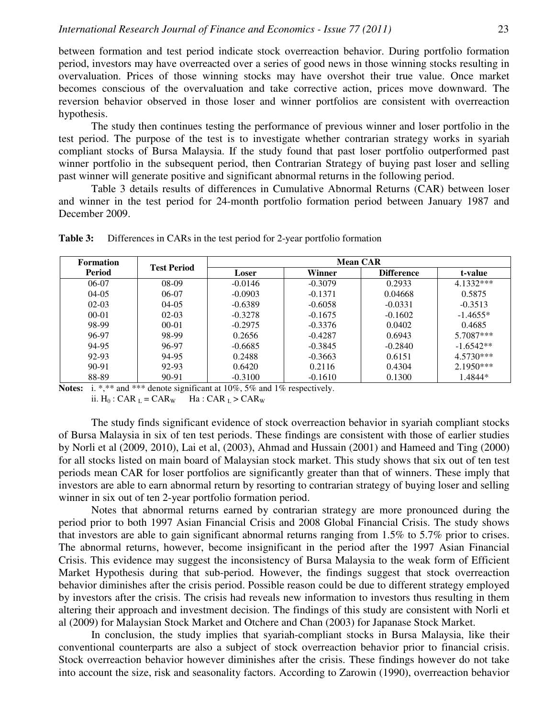between formation and test period indicate stock overreaction behavior. During portfolio formation period, investors may have overreacted over a series of good news in those winning stocks resulting in overvaluation. Prices of those winning stocks may have overshot their true value. Once market becomes conscious of the overvaluation and take corrective action, prices move downward. The reversion behavior observed in those loser and winner portfolios are consistent with overreaction hypothesis.

The study then continues testing the performance of previous winner and loser portfolio in the test period. The purpose of the test is to investigate whether contrarian strategy works in syariah compliant stocks of Bursa Malaysia. If the study found that past loser portfolio outperformed past winner portfolio in the subsequent period, then Contrarian Strategy of buying past loser and selling past winner will generate positive and significant abnormal returns in the following period.

Table 3 details results of differences in Cumulative Abnormal Returns (CAR) between loser and winner in the test period for 24-month portfolio formation period between January 1987 and December 2009.

| <b>Formation</b><br><b>Period</b> | <b>Test Period</b> | <b>Mean CAR</b> |           |                   |             |
|-----------------------------------|--------------------|-----------------|-----------|-------------------|-------------|
|                                   |                    | Loser           | Winner    | <b>Difference</b> | t-value     |
| 06-07                             | $08-09$            | $-0.0146$       | $-0.3079$ | 0.2933            | 4.1332***   |
| $04-05$                           | 06-07              | $-0.0903$       | $-0.1371$ | 0.04668           | 0.5875      |
| $02-03$                           | $04-05$            | $-0.6389$       | $-0.6058$ | $-0.0331$         | $-0.3513$   |
| $00-01$                           | $02-03$            | $-0.3278$       | $-0.1675$ | $-0.1602$         | $-1.4655*$  |
| 98-99                             | $00-01$            | $-0.2975$       | $-0.3376$ | 0.0402            | 0.4685      |
| 96-97                             | 98-99              | 0.2656          | $-0.4287$ | 0.6943            | $5.7087***$ |
| 94-95                             | 96-97              | $-0.6685$       | $-0.3845$ | $-0.2840$         | $-1.6542**$ |
| 92-93                             | 94-95              | 0.2488          | $-0.3663$ | 0.6151            | $4.5730***$ |
| $90 - 91$                         | 92-93              | 0.6420          | 0.2116    | 0.4304            | $2.1950***$ |
| 88-89                             | 90-91              | $-0.3100$       | $-0.1610$ | 0.1300            | 1.4844*     |

**Table 3:** Differences in CARs in the test period for 2-year portfolio formation

**Notes:** i. \*,\*\* and \*\*\* denote significant at 10%, 5% and 1% respectively.

ii.  $H_0$ : CAR  $_L = CAR_W$  Ha : CAR  $_L > CAR_W$ 

The study finds significant evidence of stock overreaction behavior in syariah compliant stocks of Bursa Malaysia in six of ten test periods. These findings are consistent with those of earlier studies by Norli et al (2009, 2010), Lai et al, (2003), Ahmad and Hussain (2001) and Hameed and Ting (2000) for all stocks listed on main board of Malaysian stock market. This study shows that six out of ten test periods mean CAR for loser portfolios are significantly greater than that of winners. These imply that investors are able to earn abnormal return by resorting to contrarian strategy of buying loser and selling winner in six out of ten 2-year portfolio formation period.

Notes that abnormal returns earned by contrarian strategy are more pronounced during the period prior to both 1997 Asian Financial Crisis and 2008 Global Financial Crisis. The study shows that investors are able to gain significant abnormal returns ranging from 1.5% to 5.7% prior to crises. The abnormal returns, however, become insignificant in the period after the 1997 Asian Financial Crisis. This evidence may suggest the inconsistency of Bursa Malaysia to the weak form of Efficient Market Hypothesis during that sub-period. However, the findings suggest that stock overreaction behavior diminishes after the crisis period. Possible reason could be due to different strategy employed by investors after the crisis. The crisis had reveals new information to investors thus resulting in them altering their approach and investment decision. The findings of this study are consistent with Norli et al (2009) for Malaysian Stock Market and Otchere and Chan (2003) for Japanase Stock Market.

In conclusion, the study implies that syariah-compliant stocks in Bursa Malaysia, like their conventional counterparts are also a subject of stock overreaction behavior prior to financial crisis. Stock overreaction behavior however diminishes after the crisis. These findings however do not take into account the size, risk and seasonality factors. According to Zarowin (1990), overreaction behavior